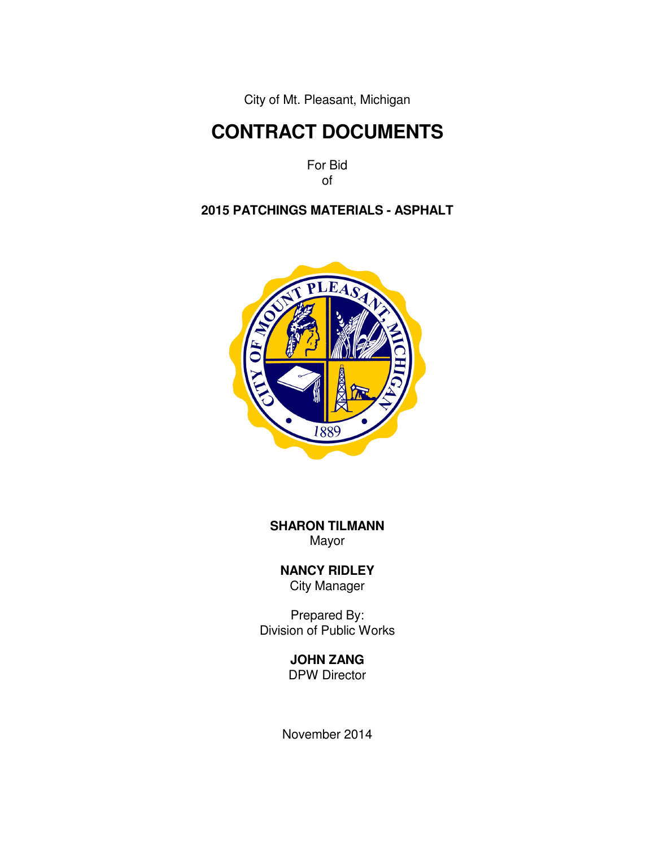City of Mt. Pleasant, Michigan

# **CONTRACT DOCUMENTS**

For Bid of

### **2015 PATCHINGS MATERIALS - ASPHALT**



**SHARON TILMANN**  Mayor

 **NANCY RIDLEY** City Manager

Prepared By: Division of Public Works

## **JOHN ZANG**

DPW Director

November 2014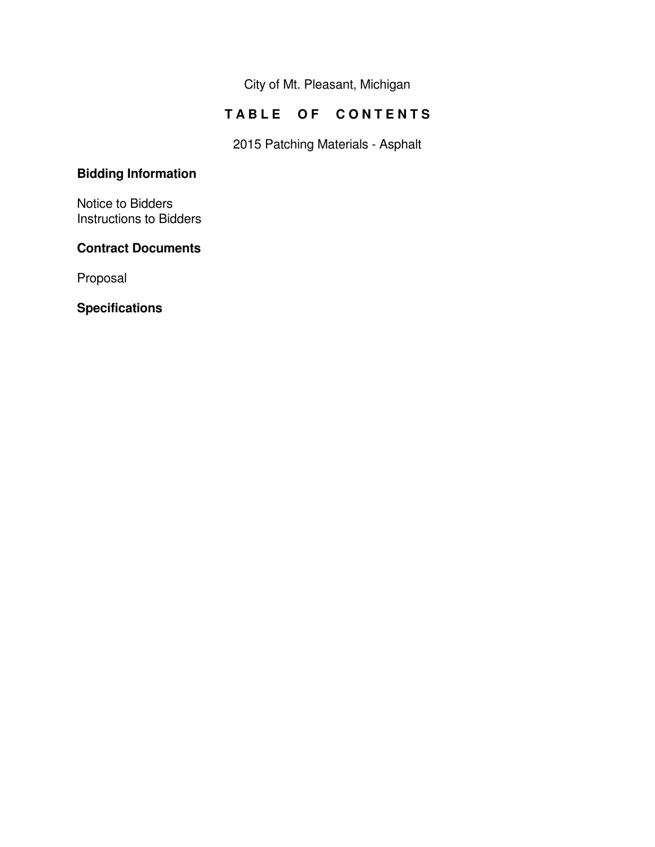City of Mt. Pleasant, Michigan

## **TABLE OF CONTENTS**

2015 Patching Materials - Asphalt

## **Bidding Information**

Notice to Bidders Instructions to Bidders

### **Contract Documents**

Proposal

**Specifications**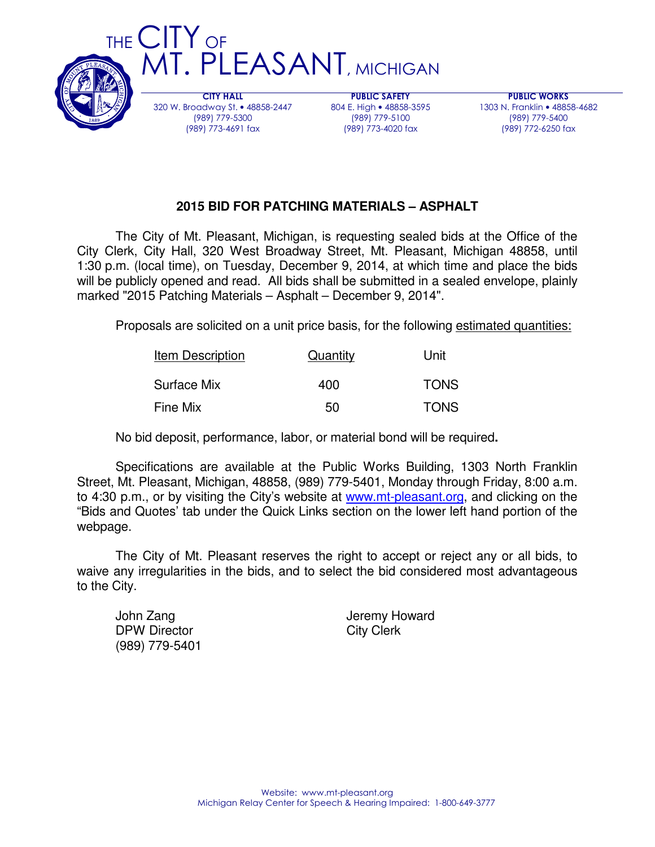

320 W. Broadway St. • 48858-2447 (989) 779-5300 (989) 773-4691 fax

804 E. High • 48858-3595 (989) 779-5100 (989) 773-4020 fax

PUBLIC WORKS 1303 N. Franklin • 48858-4682 (989) 779-5400 (989) 772-6250 fax

### **2015 BID FOR PATCHING MATERIALS – ASPHALT**

 The City of Mt. Pleasant, Michigan, is requesting sealed bids at the Office of the City Clerk, City Hall, 320 West Broadway Street, Mt. Pleasant, Michigan 48858, until 1:30 p.m. (local time), on Tuesday, December 9, 2014, at which time and place the bids will be publicly opened and read. All bids shall be submitted in a sealed envelope, plainly marked "2015 Patching Materials – Asphalt – December 9, 2014".

Proposals are solicited on a unit price basis, for the following estimated quantities:

| Item Description | Quantity | Unit        |  |
|------------------|----------|-------------|--|
| Surface Mix      | 400      | <b>TONS</b> |  |
| <b>Fine Mix</b>  | 50       | <b>TONS</b> |  |

No bid deposit, performance, labor, or material bond will be required**.** 

 Specifications are available at the Public Works Building, 1303 North Franklin Street, Mt. Pleasant, Michigan, 48858, (989) 779-5401, Monday through Friday, 8:00 a.m. to 4:30 p.m., or by visiting the City's website at www.mt-pleasant.org, and clicking on the "Bids and Quotes' tab under the Quick Links section on the lower left hand portion of the webpage.

 The City of Mt. Pleasant reserves the right to accept or reject any or all bids, to waive any irregularities in the bids, and to select the bid considered most advantageous to the City.

DPW Director City Clerk (989) 779-5401

John Zang **Jeremy Howard**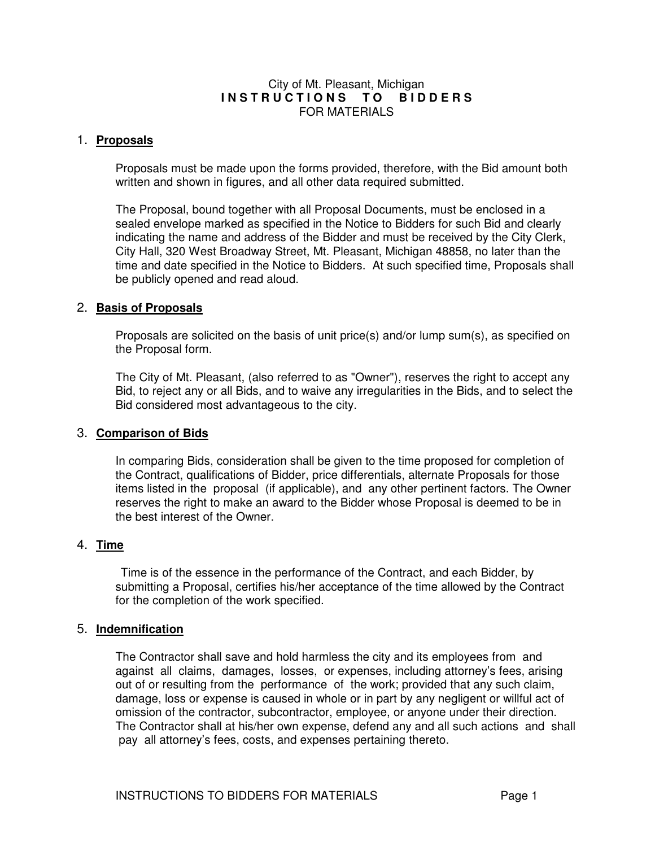#### City of Mt. Pleasant, Michigan INSTRUCTIONS TO BIDDERS FOR MATERIALS

#### 1. **Proposals**

Proposals must be made upon the forms provided, therefore, with the Bid amount both written and shown in figures, and all other data required submitted.

The Proposal, bound together with all Proposal Documents, must be enclosed in a sealed envelope marked as specified in the Notice to Bidders for such Bid and clearly indicating the name and address of the Bidder and must be received by the City Clerk, City Hall, 320 West Broadway Street, Mt. Pleasant, Michigan 48858, no later than the time and date specified in the Notice to Bidders. At such specified time, Proposals shall be publicly opened and read aloud.

#### 2. **Basis of Proposals**

Proposals are solicited on the basis of unit price(s) and/or lump sum(s), as specified on the Proposal form.

The City of Mt. Pleasant, (also referred to as "Owner"), reserves the right to accept any Bid, to reject any or all Bids, and to waive any irregularities in the Bids, and to select the Bid considered most advantageous to the city.

#### 3. **Comparison of Bids**

In comparing Bids, consideration shall be given to the time proposed for completion of the Contract, qualifications of Bidder, price differentials, alternate Proposals for those items listed in the proposal (if applicable), and any other pertinent factors. The Owner reserves the right to make an award to the Bidder whose Proposal is deemed to be in the best interest of the Owner.

#### 4. **Time**

 Time is of the essence in the performance of the Contract, and each Bidder, by submitting a Proposal, certifies his/her acceptance of the time allowed by the Contract for the completion of the work specified.

#### 5. **Indemnification**

The Contractor shall save and hold harmless the city and its employees from and against all claims, damages, losses, or expenses, including attorney's fees, arising out of or resulting from the performance of the work; provided that any such claim, damage, loss or expense is caused in whole or in part by any negligent or willful act of omission of the contractor, subcontractor, employee, or anyone under their direction. The Contractor shall at his/her own expense, defend any and all such actions and shall pay all attorney's fees, costs, and expenses pertaining thereto.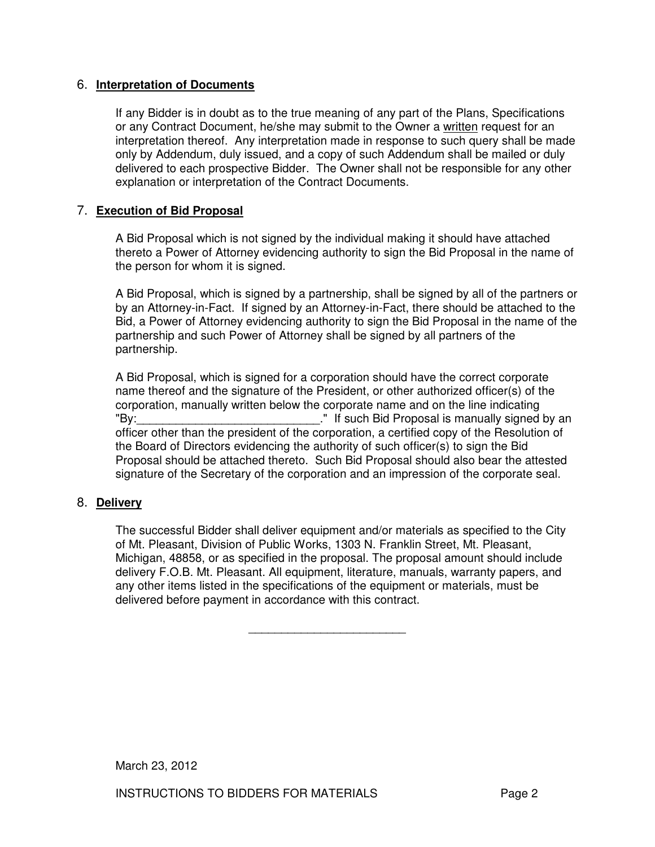#### 6. **Interpretation of Documents**

If any Bidder is in doubt as to the true meaning of any part of the Plans, Specifications or any Contract Document, he/she may submit to the Owner a written request for an interpretation thereof. Any interpretation made in response to such query shall be made only by Addendum, duly issued, and a copy of such Addendum shall be mailed or duly delivered to each prospective Bidder. The Owner shall not be responsible for any other explanation or interpretation of the Contract Documents.

#### 7. **Execution of Bid Proposal**

A Bid Proposal which is not signed by the individual making it should have attached thereto a Power of Attorney evidencing authority to sign the Bid Proposal in the name of the person for whom it is signed.

A Bid Proposal, which is signed by a partnership, shall be signed by all of the partners or by an Attorney-in-Fact. If signed by an Attorney-in-Fact, there should be attached to the Bid, a Power of Attorney evidencing authority to sign the Bid Proposal in the name of the partnership and such Power of Attorney shall be signed by all partners of the partnership.

A Bid Proposal, which is signed for a corporation should have the correct corporate name thereof and the signature of the President, or other authorized officer(s) of the corporation, manually written below the corporate name and on the line indicating "By: The such Bid Proposal is manually signed by an "If such Bid Proposal is manually signed by an officer other than the president of the corporation, a certified copy of the Resolution of the Board of Directors evidencing the authority of such officer(s) to sign the Bid Proposal should be attached thereto. Such Bid Proposal should also bear the attested signature of the Secretary of the corporation and an impression of the corporate seal.

#### 8. **Delivery**

The successful Bidder shall deliver equipment and/or materials as specified to the City of Mt. Pleasant, Division of Public Works, 1303 N. Franklin Street, Mt. Pleasant, Michigan, 48858, or as specified in the proposal. The proposal amount should include delivery F.O.B. Mt. Pleasant. All equipment, literature, manuals, warranty papers, and any other items listed in the specifications of the equipment or materials, must be delivered before payment in accordance with this contract.

 $\frac{1}{2}$  ,  $\frac{1}{2}$  ,  $\frac{1}{2}$  ,  $\frac{1}{2}$  ,  $\frac{1}{2}$  ,  $\frac{1}{2}$  ,  $\frac{1}{2}$  ,  $\frac{1}{2}$  ,  $\frac{1}{2}$  ,  $\frac{1}{2}$  ,  $\frac{1}{2}$  ,  $\frac{1}{2}$  ,  $\frac{1}{2}$  ,  $\frac{1}{2}$  ,  $\frac{1}{2}$  ,  $\frac{1}{2}$  ,  $\frac{1}{2}$  ,  $\frac{1}{2}$  ,  $\frac{1$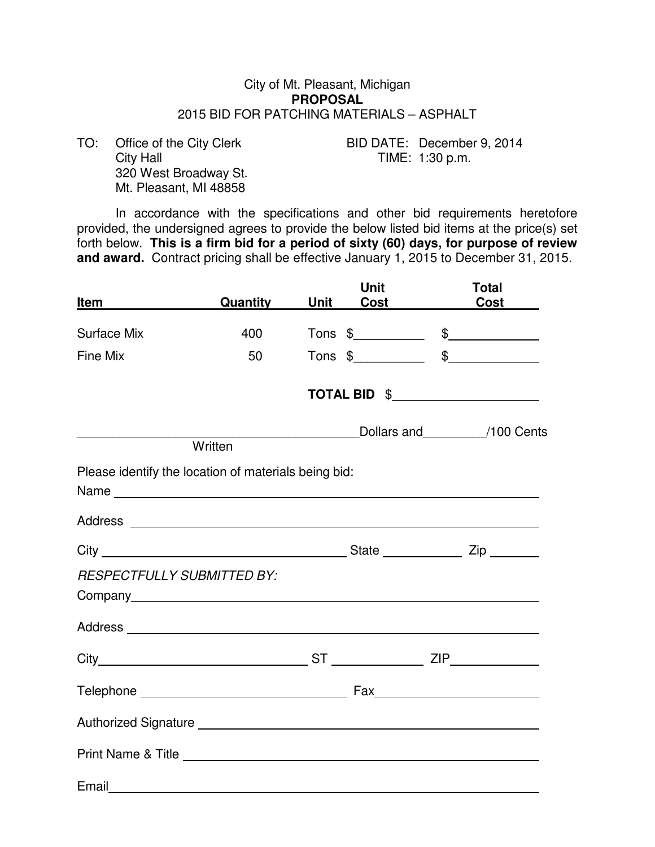#### City of Mt. Pleasant, Michigan **PROPOSAL**  2015 BID FOR PATCHING MATERIALS – ASPHALT

 320 West Broadway St. Mt. Pleasant, MI 48858

TO: Office of the City Clerk BID DATE: December 9, 2014<br>City Hall TIME: 1:30 p.m. TIME: 1:30 p.m.

 In accordance with the specifications and other bid requirements heretofore provided, the undersigned agrees to provide the below listed bid items at the price(s) set forth below. **This is a firm bid for a period of sixty (60) days, for purpose of review and award.** Contract pricing shall be effective January 1, 2015 to December 31, 2015.

| Item                              | Quantity                                             | Unit | Unit<br><b>Cost Cost</b> | <b>Total</b><br><b>Cost</b>        |
|-----------------------------------|------------------------------------------------------|------|--------------------------|------------------------------------|
| <b>Surface Mix</b>                | 400                                                  |      |                          | $Tons$ \$                          |
| Fine Mix                          | 50                                                   |      | $Tons$ \$                |                                    |
|                                   |                                                      |      |                          | TOTAL BID \$______________________ |
|                                   | Written                                              |      |                          | Dollars and 100 Cents              |
|                                   | Please identify the location of materials being bid: |      |                          |                                    |
|                                   |                                                      |      |                          |                                    |
|                                   |                                                      |      |                          |                                    |
| <b>RESPECTFULLY SUBMITTED BY:</b> |                                                      |      |                          |                                    |
|                                   |                                                      |      |                          |                                    |
|                                   |                                                      |      |                          |                                    |
|                                   |                                                      |      |                          |                                    |
|                                   |                                                      |      |                          |                                    |
|                                   |                                                      |      |                          |                                    |
| Email                             |                                                      |      |                          |                                    |